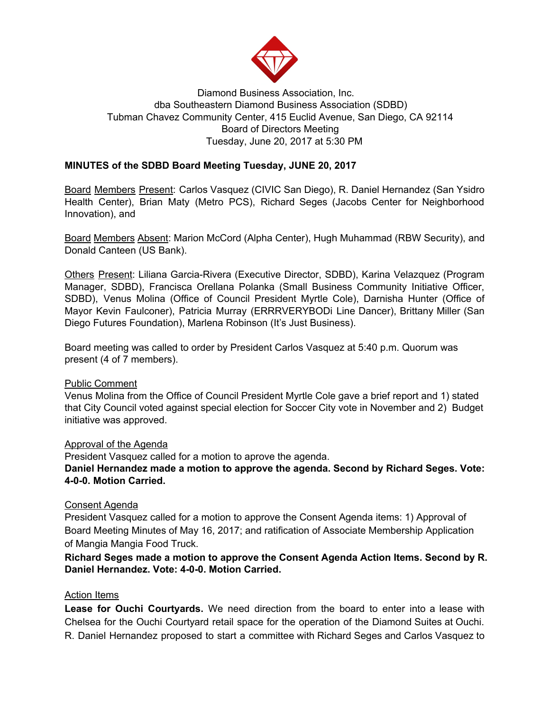

# Diamond Business Association, Inc. dba Southeastern Diamond Business Association (SDBD) Tubman Chavez Community Center, 415 Euclid Avenue, San Diego, CA 92114 Board of Directors Meeting Tuesday, June 20, 2017 at 5:30 PM

## **MINUTES of the SDBD Board Meeting Tuesday, JUNE 20, 2017**

Board Members Present: Carlos Vasquez (CIVIC San Diego), R. Daniel Hernandez (San Ysidro Health Center), Brian Maty (Metro PCS), Richard Seges (Jacobs Center for Neighborhood Innovation), and

Board Members Absent: Marion McCord (Alpha Center), Hugh Muhammad (RBW Security), and Donald Canteen (US Bank).

Others Present: Liliana Garcia-Rivera (Executive Director, SDBD), Karina Velazquez (Program Manager, SDBD), Francisca Orellana Polanka (Small Business Community Initiative Officer, SDBD), Venus Molina (Office of Council President Myrtle Cole), Darnisha Hunter (Office of Mayor Kevin Faulconer), Patricia Murray (ERRRVERYBODi Line Dancer), Brittany Miller (San Diego Futures Foundation), Marlena Robinson (It's Just Business).

Board meeting was called to order by President Carlos Vasquez at 5:40 p.m. Quorum was present (4 of 7 members).

## Public Comment

Venus Molina from the Office of Council President Myrtle Cole gave a brief report and 1) stated that City Council voted against special election for Soccer City vote in November and 2) Budget initiative was approved.

#### Approval of the Agenda

President Vasquez called for a motion to aprove the agenda.

**Daniel Hernandez made a motion to approve the agenda. Second by Richard Seges. Vote: 4-0-0. Motion Carried.**

#### Consent Agenda

President Vasquez called for a motion to approve the Consent Agenda items: 1) Approval of Board Meeting Minutes of May 16, 2017; and ratification of Associate Membership Application of Mangia Mangia Food Truck.

## **Richard Seges made a motion to approve the Consent Agenda Action Items. Second by R. Daniel Hernandez. Vote: 4-0-0. Motion Carried.**

#### Action Items

**Lease for Ouchi Courtyards.** We need direction from the board to enter into a lease with Chelsea for the Ouchi Courtyard retail space for the operation of the Diamond Suites at Ouchi. R. Daniel Hernandez proposed to start a committee with Richard Seges and Carlos Vasquez to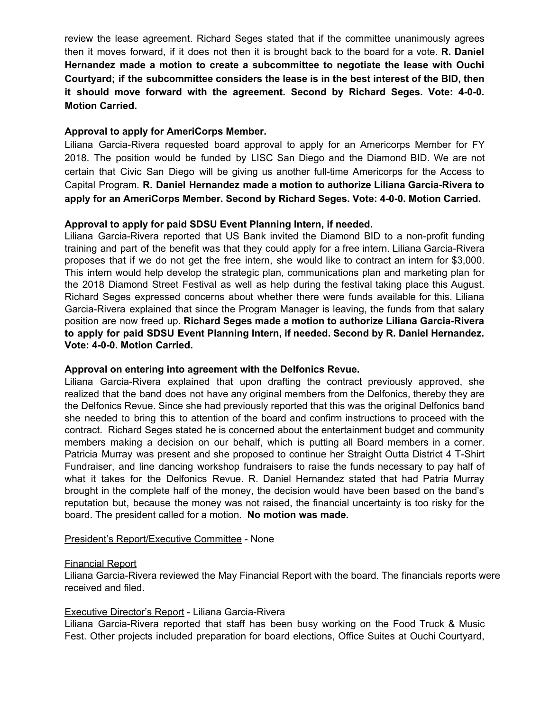review the lease agreement. Richard Seges stated that if the committee unanimously agrees then it moves forward, if it does not then it is brought back to the board for a vote. **R. Daniel Hernandez made a motion to create a subcommittee to negotiate the lease with Ouchi Courtyard; if the subcommittee considers the lease is in the best interest of the BID, then it should move forward with the agreement. Second by Richard Seges. Vote: 4-0-0. Motion Carried.**

## **Approval to apply for AmeriCorps Member.**

Liliana Garcia-Rivera requested board approval to apply for an Americorps Member for FY 2018. The position would be funded by LISC San Diego and the Diamond BID. We are not certain that Civic San Diego will be giving us another full-time Americorps for the Access to Capital Program. **R. Daniel Hernandez made a motion to authorize Liliana Garcia-Rivera to apply for an AmeriCorps Member. Second by Richard Seges. Vote: 4-0-0. Motion Carried.**

# **Approval to apply for paid SDSU Event Planning Intern, if needed.**

Liliana Garcia-Rivera reported that US Bank invited the Diamond BID to a non-profit funding training and part of the benefit was that they could apply for a free intern. Liliana Garcia-Rivera proposes that if we do not get the free intern, she would like to contract an intern for \$3,000. This intern would help develop the strategic plan, communications plan and marketing plan for the 2018 Diamond Street Festival as well as help during the festival taking place this August. Richard Seges expressed concerns about whether there were funds available for this. Liliana Garcia-Rivera explained that since the Program Manager is leaving, the funds from that salary position are now freed up. **Richard Seges made a motion to authorize Liliana Garcia-Rivera to apply for paid SDSU Event Planning Intern, if needed. Second by R. Daniel Hernandez. Vote: 4-0-0. Motion Carried.**

## **Approval on entering into agreement with the Delfonics Revue.**

Liliana Garcia-Rivera explained that upon drafting the contract previously approved, she realized that the band does not have any original members from the Delfonics, thereby they are the Delfonics Revue. Since she had previously reported that this was the original Delfonics band she needed to bring this to attention of the board and confirm instructions to proceed with the contract. Richard Seges stated he is concerned about the entertainment budget and community members making a decision on our behalf, which is putting all Board members in a corner. Patricia Murray was present and she proposed to continue her Straight Outta District 4 T-Shirt Fundraiser, and line dancing workshop fundraisers to raise the funds necessary to pay half of what it takes for the Delfonics Revue. R. Daniel Hernandez stated that had Patria Murray brought in the complete half of the money, the decision would have been based on the band's reputation but, because the money was not raised, the financial uncertainty is too risky for the board. The president called for a motion. **No motion was made.**

## President's Report/Executive Committee - None

#### Financial Report

Liliana Garcia-Rivera reviewed the May Financial Report with the board. The financials reports were received and filed.

#### Executive Director's Report - Liliana Garcia-Rivera

Liliana Garcia-Rivera reported that staff has been busy working on the Food Truck & Music Fest. Other projects included preparation for board elections, Office Suites at Ouchi Courtyard,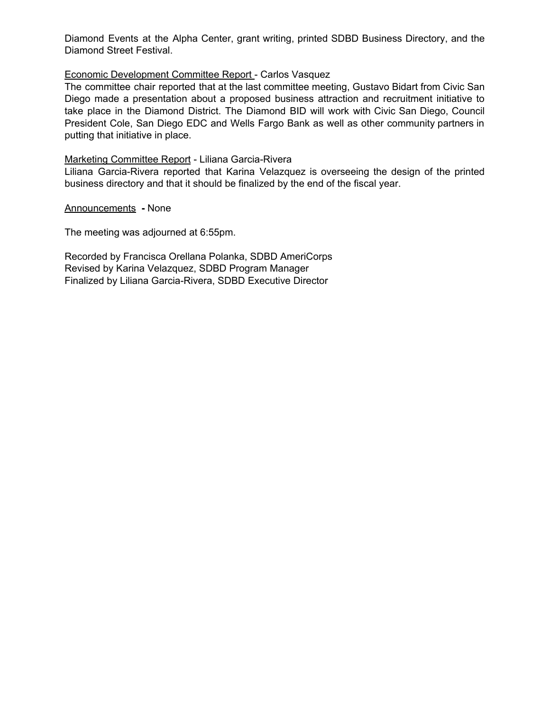Diamond Events at the Alpha Center, grant writing, printed SDBD Business Directory, and the Diamond Street Festival.

### Economic Development Committee Report - Carlos Vasquez

The committee chair reported that at the last committee meeting, Gustavo Bidart from Civic San Diego made a presentation about a proposed business attraction and recruitment initiative to take place in the Diamond District. The Diamond BID will work with Civic San Diego, Council President Cole, San Diego EDC and Wells Fargo Bank as well as other community partners in putting that initiative in place.

Marketing Committee Report - Liliana Garcia-Rivera

Liliana Garcia-Rivera reported that Karina Velazquez is overseeing the design of the printed business directory and that it should be finalized by the end of the fiscal year.

Announcements **-** None

The meeting was adjourned at 6:55pm.

Recorded by Francisca Orellana Polanka, SDBD AmeriCorps Revised by Karina Velazquez, SDBD Program Manager Finalized by Liliana Garcia-Rivera, SDBD Executive Director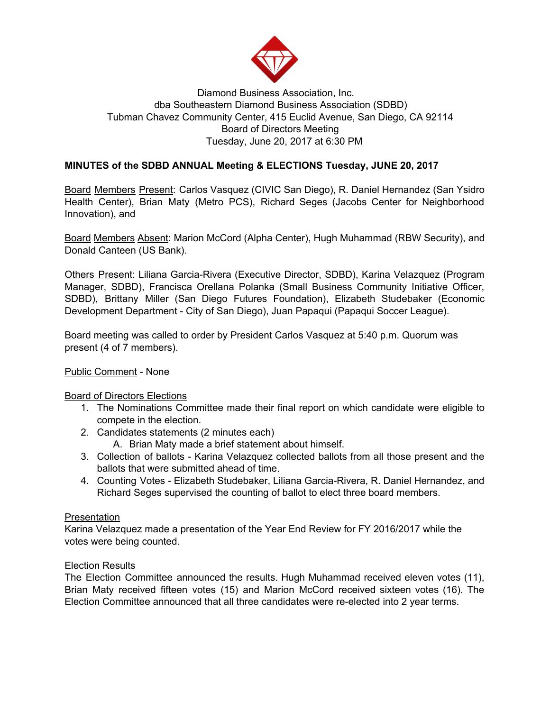

# Diamond Business Association, Inc. dba Southeastern Diamond Business Association (SDBD) Tubman Chavez Community Center, 415 Euclid Avenue, San Diego, CA 92114 Board of Directors Meeting Tuesday, June 20, 2017 at 6:30 PM

# **MINUTES of the SDBD ANNUAL Meeting & ELECTIONS Tuesday, JUNE 20, 2017**

Board Members Present: Carlos Vasquez (CIVIC San Diego), R. Daniel Hernandez (San Ysidro Health Center), Brian Maty (Metro PCS), Richard Seges (Jacobs Center for Neighborhood Innovation), and

Board Members Absent: Marion McCord (Alpha Center), Hugh Muhammad (RBW Security), and Donald Canteen (US Bank).

Others Present: Liliana Garcia-Rivera (Executive Director, SDBD), Karina Velazquez (Program Manager, SDBD), Francisca Orellana Polanka (Small Business Community Initiative Officer, SDBD), Brittany Miller (San Diego Futures Foundation), Elizabeth Studebaker (Economic Development Department - City of San Diego), Juan Papaqui (Papaqui Soccer League).

Board meeting was called to order by President Carlos Vasquez at 5:40 p.m. Quorum was present (4 of 7 members).

## Public Comment - None

## Board of Directors Elections

- 1. The Nominations Committee made their final report on which candidate were eligible to compete in the election.
- 2. Candidates statements (2 minutes each)
	- A. Brian Maty made a brief statement about himself.
- 3. Collection of ballots Karina Velazquez collected ballots from all those present and the ballots that were submitted ahead of time.
- 4. Counting Votes Elizabeth Studebaker, Liliana Garcia-Rivera, R. Daniel Hernandez, and Richard Seges supervised the counting of ballot to elect three board members.

## Presentation

Karina Velazquez made a presentation of the Year End Review for FY 2016/2017 while the votes were being counted.

## Election Results

The Election Committee announced the results. Hugh Muhammad received eleven votes (11), Brian Maty received fifteen votes (15) and Marion McCord received sixteen votes (16). The Election Committee announced that all three candidates were re-elected into 2 year terms.